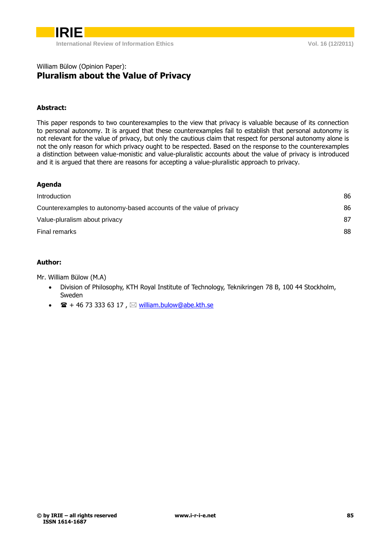

### William Bülow (Opinion Paper): **Pluralism about the Value of Privacy**

### **Abstract:**

This paper responds to two counterexamples to the view that privacy is valuable because of its connection to personal autonomy. It is argued that these counterexamples fail to establish that personal autonomy is not relevant for the value of privacy, but only the cautious claim that respect for personal autonomy alone is not the only reason for which privacy ought to be respected. Based on the response to the counterexamples a distinction between value-monistic and value-pluralistic accounts about the value of privacy is introduced and it is argued that there are reasons for accepting a value-pluralistic approach to privacy.

| ١<br>I<br><br>n |  |
|-----------------|--|
|-----------------|--|

| Introduction                                                       | 86 |
|--------------------------------------------------------------------|----|
| Counterexamples to autonomy-based accounts of the value of privacy | 86 |
| Value-pluralism about privacy                                      | 87 |
| Final remarks                                                      | 88 |
|                                                                    |    |

### **Author:**

Mr. William Bülow (M.A)

- Division of Philosophy, KTH Royal Institute of Technology, Teknikringen 78 B, 100 44 Stockholm, Sweden
- $\bullet$   $\mathbf{F}$  + 46 73 333 63 17,  $\boxtimes$  [william.bulow@abe.kth.se](mailto:william.bulow@abe.kth.se)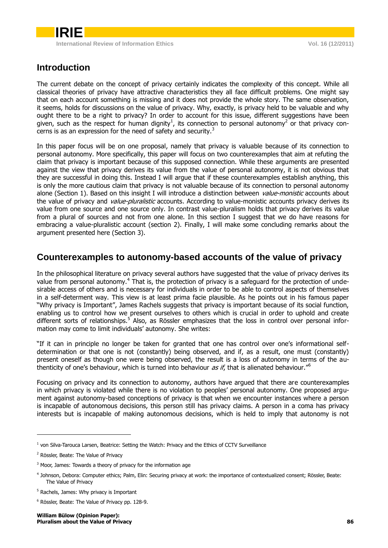

# <span id="page-1-0"></span>**Introduction**

The current debate on the concept of privacy certainly indicates the complexity of this concept. While all classical theories of privacy have attractive characteristics they all face difficult problems. One might say that on each account something is missing and it does not provide the whole story. The same observation, it seems, holds for discussions on the value of privacy. Why, exactly, is privacy held to be valuable and why ought there to be a right to privacy? In order to account for this issue, different suggestions have been given, such as the respect for human dignity<sup>1</sup>, its connection to personal autonomy<sup>2</sup> or that privacy concerns is as an expression for the need of safety and security.<sup>3</sup>

In this paper focus will be on one proposal, namely that privacy is valuable because of its connection to personal autonomy. More specifically, this paper will focus on two counterexamples that aim at refuting the claim that privacy is important because of this supposed connection. While these arguments are presented against the view that privacy derives its value from the value of personal autonomy, it is not obvious that they are successful in doing this. Instead I will argue that if these counterexamples establish anything, this is only the more cautious claim that privacy is not valuable because of its connection to personal autonomy alone (Section 1). Based on this insight I will introduce a distinction between *value-monistic* accounts about the value of privacy and *value-pluralistic* accounts. According to value-monistic accounts privacy derives its value from one source and one source only. In contrast value-pluralism holds that privacy derives its value from a plural of sources and not from one alone. In this section I suggest that we do have reasons for embracing a value-pluralistic account (section 2). Finally, I will make some concluding remarks about the argument presented here (Section 3).

## <span id="page-1-1"></span>**Counterexamples to autonomy-based accounts of the value of privacy**

In the philosophical literature on privacy several authors have suggested that the value of privacy derives its value from personal autonomy.<sup>4</sup> That is, the protection of privacy is a safeguard for the protection of undesirable access of others and is necessary for individuals in order to be able to control aspects of themselves in a self-determent way. This view is at least prima facie plausible. As he points out in his famous paper "Why privacy is Important", James Rachels suggests that privacy is important because of its social function, enabling us to control how we present ourselves to others which is crucial in order to uphold and create different sorts of relationships.<sup>5</sup> Also, as Rössler emphasizes that the loss in control over personal information may come to limit individuals' autonomy. She writes:

"If it can in principle no longer be taken for granted that one has control over one's informational selfdetermination or that one is not (constantly) being observed, and if, as a result, one must (constantly) present oneself as though one were being observed, the result is a loss of autonomy in terms of the authenticity of one's behaviour, which is turned into behaviour as if, that is alienated behaviour."<sup>6</sup>

Focusing on privacy and its connection to autonomy, authors have argued that there are counterexamples in which privacy is violated while there is no violation to peoples' personal autonomy. One proposed argument against autonomy-based conceptions of privacy is that when we encounter instances where a person is incapable of autonomous decisions, this person still has privacy claims. A person in a coma has privacy interests but is incapable of making autonomous decisions, which is held to imply that autonomy is not

-

<sup>&</sup>lt;sup>1</sup> von Silva-Tarouca Larsen, Beatrice: Setting the Watch: Privacy and the Ethics of CCTV Surveillance

<sup>2</sup> Rössler, Beate: The Value of Privacy

 $3$  Moor, James: Towards a theory of privacy for the information age

<sup>4</sup> Johnson, Debora: Computer ethics; Palm, Elin: Securing privacy at work: the importance of contextualized consent; Rössler, Beate: The Value of Privacy

<sup>5</sup> Rachels, James: Why privacy is Important

<sup>6</sup> Rössler, Beate: The Value of Privacy pp. 128-9.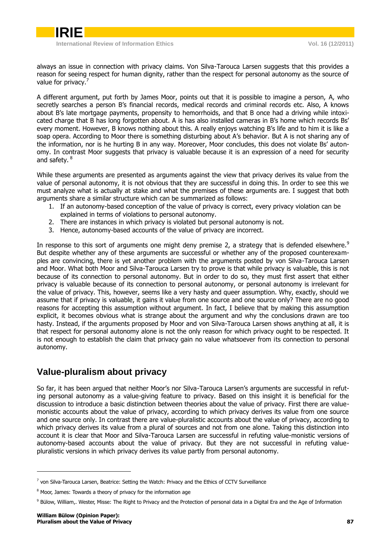

**International Review of Information Ethics Vol. 16 (12/2011)**

always an issue in connection with privacy claims. Von Silva-Tarouca Larsen suggests that this provides a reason for seeing respect for human dignity, rather than the respect for personal autonomy as the source of value for privacy.<sup>7</sup>

A different argument, put forth by James Moor, points out that it is possible to imagine a person, A, who secretly searches a person B's financial records, medical records and criminal records etc. Also, A knows about B's late mortgage payments, propensity to hemorrhoids, and that B once had a driving while intoxicated charge that B has long forgotten about. A is has also installed cameras in B's home which records Bs' every moment. However, B knows nothing about this. A really enjoys watching B's life and to him it is like a soap opera. According to Moor there is something disturbing about A's behavior. But A is not sharing any of the information, nor is he hurting B in any way. Moreover, Moor concludes, this does not violate Bs' autonomy. In contrast Moor suggests that privacy is valuable because it is an expression of a need for security and safety. <sup>8</sup>

While these arguments are presented as arguments against the view that privacy derives its value from the value of personal autonomy, it is not obvious that they are successful in doing this. In order to see this we must analyze what is actually at stake and what the premises of these arguments are. I suggest that both arguments share a similar structure which can be summarized as follows:

- 1. If an autonomy-based conception of the value of privacy is correct, every privacy violation can be explained in terms of violations to personal autonomy.
- 2. There are instances in which privacy is violated but personal autonomy is not.
- 3. Hence, autonomy-based accounts of the value of privacy are incorrect.

In response to this sort of arguments one might deny premise 2, a strategy that is defended elsewhere.<sup>9</sup> But despite whether any of these arguments are successful or whether any of the proposed counterexamples are convincing, there is yet another problem with the arguments posted by von Silva-Tarouca Larsen and Moor. What both Moor and Silva-Tarouca Larsen try to prove is that while privacy is valuable, this is not because of its connection to personal autonomy. But in order to do so, they must first assert that either privacy is valuable because of its connection to personal autonomy, or personal autonomy is irrelevant for the value of privacy. This, however, seems like a very hasty and queer assumption. Why, exactly, should we assume that if privacy is valuable, it gains it value from one source and one source only? There are no good reasons for accepting this assumption without argument. In fact, I believe that by making this assumption explicit, it becomes obvious what is strange about the argument and why the conclusions drawn are too hasty. Instead, if the arguments proposed by Moor and von Silva-Tarouca Larsen shows anything at all, it is that respect for personal autonomy alone is not the only reason for which privacy ought to be respected. It is not enough to establish the claim that privacy gain no value whatsoever from its connection to personal autonomy.

# <span id="page-2-0"></span>**Value-pluralism about privacy**

So far, it has been argued that neither Moor's nor Silva-Tarouca Larsen's arguments are successful in refuting personal autonomy as a value-giving feature to privacy. Based on this insight it is beneficial for the discussion to introduce a basic distinction between theories about the value of privacy. First there are valuemonistic accounts about the value of privacy, according to which privacy derives its value from one source and one source only. In contrast there are value-pluralistic accounts about the value of privacy, according to which privacy derives its value from a plural of sources and not from one alone. Taking this distinction into account it is clear that Moor and Silva-Tarouca Larsen are successful in refuting value-monistic versions of autonomy-based accounts about the value of privacy. But they are not successful in refuting valuepluralistic versions in which privacy derives its value partly from personal autonomy.

-

 $^7$  von Silva-Tarouca Larsen, Beatrice: Setting the Watch: Privacy and the Ethics of CCTV Surveillance

<sup>&</sup>lt;sup>8</sup> Moor, James: Towards a theory of privacy for the information age

<sup>9</sup> Bülow, William,. Wester, Misse: The Right to Privacy and the Protection of personal data in a Digital Era and the Age of Information